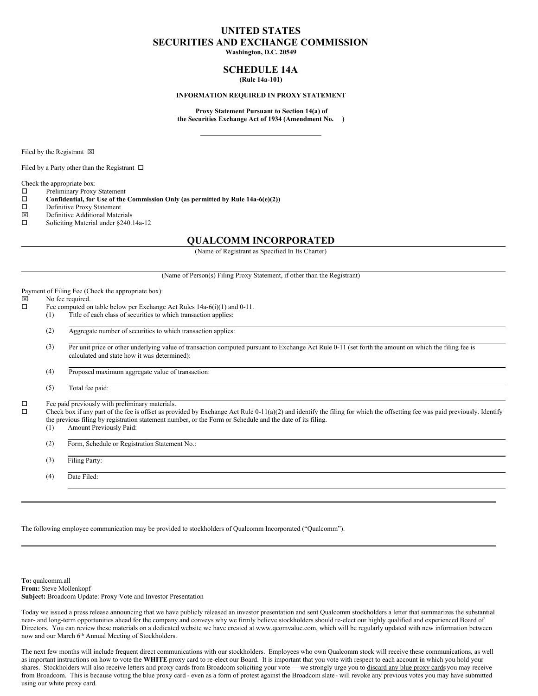# **UNITED STATES SECURITIES AND EXCHANGE COMMISSION**

**Washington, D.C. 20549**

## **SCHEDULE 14A (Rule 14a-101)**

#### **INFORMATION REQUIRED IN PROXY STATEMENT**

**Proxy Statement Pursuant to Section 14(a) of the Securities Exchange Act of 1934 (Amendment No. )**

Filed by the Registrant  $\boxtimes$ 

Filed by a Party other than the Registrant  $\Box$ 

Check the appropriate box:

 $\square$  Preliminary Proxy Statement<br> $\square$  Confidential, for Use of the

**Confidential, for** Use of the Commission Only (as permitted by Rule  $14a-6(e)(2)$ )<br>Definitive Proxy Statement

- $\square$  Definitive Proxy Statement<br> $\square$  Definitive Additional Mater
- $\boxtimes$  Definitive Additional Materials<br>  $\square$  Soliciting Material under \$240
- Soliciting Material under §240.14a-12

## **QUALCOMM INCORPORATED**

(Name of Registrant as Specified In Its Charter)

(Name of Person(s) Filing Proxy Statement, if other than the Registrant)

Payment of Filing Fee (Check the appropriate box):<br> $[ \times ]$  No fee required.

# $\boxtimes$  No fee required.<br> $\Box$  Fee computed on

- Fee computed on table below per Exchange Act Rules  $14a-6(i)(1)$  and  $0-11$ . (1) Title of each class of securities to which transaction applies:
	- (2) Aggregate number of securities to which transaction applies:

(3) Per unit price or other underlying value of transaction computed pursuant to Exchange Act Rule 0-11 (set forth the amount on which the filing fee is calculated and state how it was determined):

(4) Proposed maximum aggregate value of transaction:

(5) Total fee paid:

 $\square$  Fee paid previously with preliminary materials.<br> $\square$  Check box if any part of the fee is offset as prov

Check box if any part of the fee is offset as provided by Exchange Act Rule 0-11(a)(2) and identify the filing for which the offsetting fee was paid previously. Identify the previous filing by registration statement number, or the Form or Schedule and the date of its filing.

(1) Amount Previously Paid:

(2) Form, Schedule or Registration Statement No.:

(3) Filing Party:

(4) Date Filed:

The following employee communication may be provided to stockholders of Qualcomm Incorporated ("Qualcomm").

**To:** qualcomm.all **From:** Steve Mollenkopf **Subject:** Broadcom Update: Proxy Vote and Investor Presentation

Today we issued a press release announcing that we have publicly released an investor presentation and sent Qualcomm stockholders a letter that summarizes the substantial near- and long-term opportunities ahead for the company and conveys why we firmly believe stockholders should re-elect our highly qualified and experienced Board of Directors. You can review these materials on a dedicated website we have created at www.qcomvalue.com, which will be regularly updated with new information between now and our March 6<sup>th</sup> Annual Meeting of Stockholders.

The next few months will include frequent direct communications with our stockholders. Employees who own Qualcomm stock will receive these communications, as well as important instructions on how to vote the **WHITE** proxy card to re-elect our Board. It is important that you vote with respect to each account in which you hold your shares. Stockholders will also receive letters and proxy cards from Broadcom soliciting your vote — we strongly urge you to discard any blue proxy cards you may receive from Broadcom. This is because voting the blue proxy card - even as a form of protest against the Broadcom slate- will revoke any previous votes you may have submitted using our white proxy card.